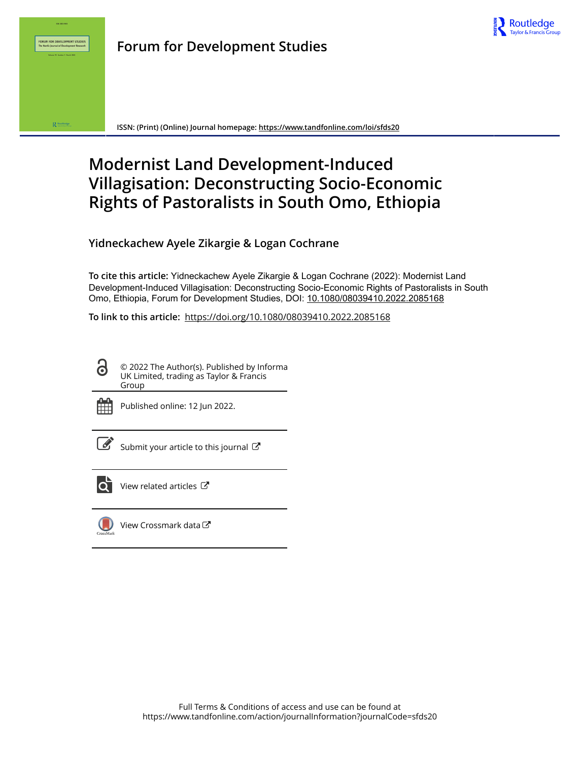



**ISSN: (Print) (Online) Journal homepage:<https://www.tandfonline.com/loi/sfds20>**

# **Modernist Land Development-Induced Villagisation: Deconstructing Socio-Economic Rights of Pastoralists in South Omo, Ethiopia**

**Yidneckachew Ayele Zikargie & Logan Cochrane**

**To cite this article:** Yidneckachew Ayele Zikargie & Logan Cochrane (2022): Modernist Land Development-Induced Villagisation: Deconstructing Socio-Economic Rights of Pastoralists in South Omo, Ethiopia, Forum for Development Studies, DOI: [10.1080/08039410.2022.2085168](https://www.tandfonline.com/action/showCitFormats?doi=10.1080/08039410.2022.2085168)

**To link to this article:** <https://doi.org/10.1080/08039410.2022.2085168>

© 2022 The Author(s). Published by Informa UK Limited, trading as Taylor & Francis Group



G

Published online: 12 Jun 2022.

[Submit your article to this journal](https://www.tandfonline.com/action/authorSubmission?journalCode=sfds20&show=instructions)  $\mathbb{Z}$ 



[View related articles](https://www.tandfonline.com/doi/mlt/10.1080/08039410.2022.2085168)  $\mathbb{Z}$ 



[View Crossmark data](http://crossmark.crossref.org/dialog/?doi=10.1080/08039410.2022.2085168&domain=pdf&date_stamp=2022-06-12)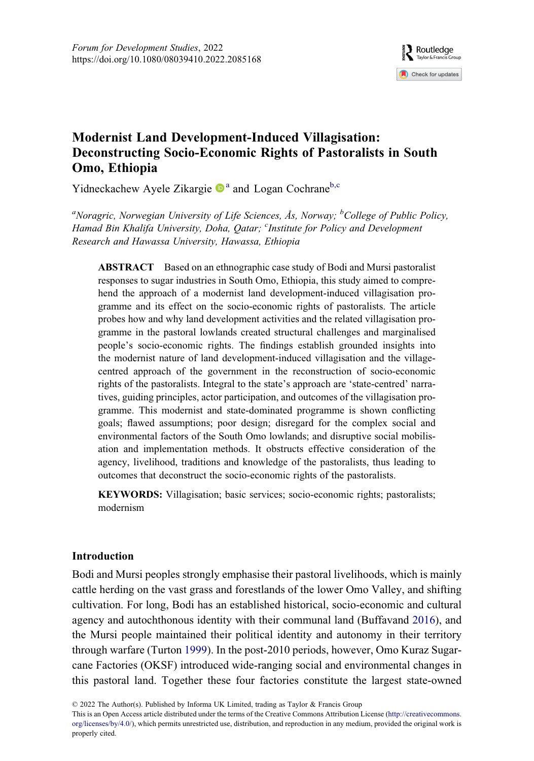

# <span id="page-1-0"></span>Modernist Land Development-Induced Villagisation: Deconstructing Socio-Economic Rights of Pastoralists in South Omo, Ethiopia

Yidneck[a](#page-1-0)chew Ayele Zikargie  $\mathbf{D}^{a}$  and Logan Cochrane<sup>[b,c](#page-1-0)</sup>

<sup>a</sup>Noragric, Norwegian University of Life Sciences, Ås, Norway; <sup>b</sup>College of Public Policy, Hamad Bin Khalifa University, Doha, Qatar; <sup>c</sup>Institute for Policy and Development Research and Hawassa University, Hawassa, Ethiopia

ABSTRACT Based on an ethnographic case study of Bodi and Mursi pastoralist responses to sugar industries in South Omo, Ethiopia, this study aimed to comprehend the approach of a modernist land development-induced villagisation programme and its effect on the socio-economic rights of pastoralists. The article probes how and why land development activities and the related villagisation programme in the pastoral lowlands created structural challenges and marginalised people's socio-economic rights. The findings establish grounded insights into the modernist nature of land development-induced villagisation and the villagecentred approach of the government in the reconstruction of socio-economic rights of the pastoralists. Integral to the state's approach are 'state-centred' narratives, guiding principles, actor participation, and outcomes of the villagisation programme. This modernist and state-dominated programme is shown conflicting goals; flawed assumptions; poor design; disregard for the complex social and environmental factors of the South Omo lowlands; and disruptive social mobilisation and implementation methods. It obstructs effective consideration of the agency, livelihood, traditions and knowledge of the pastoralists, thus leading to outcomes that deconstruct the socio-economic rights of the pastoralists.

KEYWORDS: Villagisation; basic services; socio-economic rights; pastoralists; modernism

# Introduction

<span id="page-1-1"></span>Bodi and Mursi peoples strongly emphasise their pastoral livelihoods, which is mainly cattle herding on the vast grass and forestlands of the lower Omo Valley, and shifting cultivation. For long, Bodi has an established historical, socio-economic and cultural agency and autochthonous identity with their communal land (Buffavand [2016](#page-22-0)), and the Mursi people maintained their political identity and autonomy in their territory through warfare (Turton [1999](#page-23-0)). In the post-2010 periods, however, Omo Kuraz Sugarcane Factories (OKSF) introduced wide-ranging social and environmental changes in this pastoral land. Together these four factories constitute the largest state-owned

<span id="page-1-2"></span>© 2022 The Author(s). Published by Informa UK Limited, trading as Taylor & Francis Group

This is an Open Access article distributed under the terms of the Creative Commons Attribution License ([http://creativecommons.](http://creativecommons.org/licenses/by/4.0/) [org/licenses/by/4.0/\)](http://creativecommons.org/licenses/by/4.0/), which permits unrestricted use, distribution, and reproduction in any medium, provided the original work is properly cited.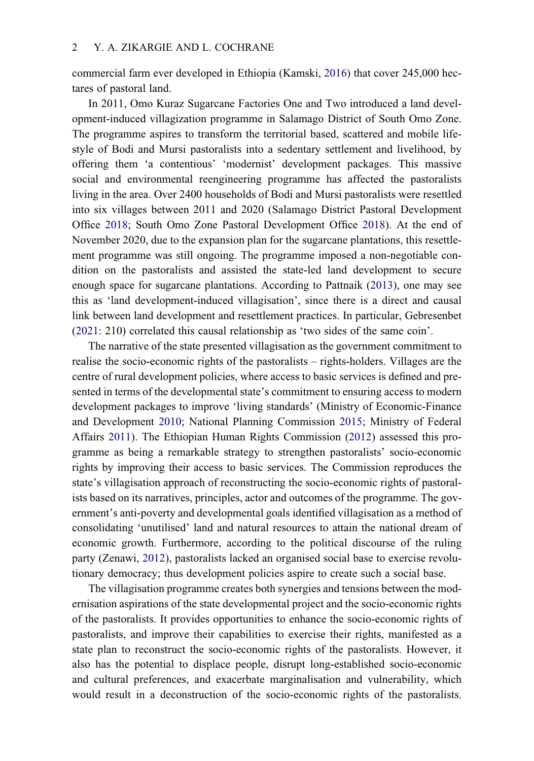<span id="page-2-2"></span>commercial farm ever developed in Ethiopia (Kamski, [2016\)](#page-22-1) that cover 245,000 hectares of pastoral land.

<span id="page-2-5"></span>In 2011, Omo Kuraz Sugarcane Factories One and Two introduced a land development-induced villagization programme in Salamago District of South Omo Zone. The programme aspires to transform the territorial based, scattered and mobile lifestyle of Bodi and Mursi pastoralists into a sedentary settlement and livelihood, by offering them 'a contentious' 'modernist' development packages. This massive social and environmental reengineering programme has affected the pastoralists living in the area. Over 2400 households of Bodi and Mursi pastoralists were resettled into six villages between 2011 and 2020 (Salamago District Pastoral Development Office [2018](#page-23-1); South Omo Zone Pastoral Development Office [2018](#page-23-2)). At the end of November 2020, due to the expansion plan for the sugarcane plantations, this resettlement programme was still ongoing. The programme imposed a non-negotiable condition on the pastoralists and assisted the state-led land development to secure enough space for sugarcane plantations. According to Pattnaik [\(2013](#page-23-3)), one may see this as 'land development-induced villagisation', since there is a direct and causal link between land development and resettlement practices. In particular, Gebresenbet [\(2021](#page-22-2): 210) correlated this causal relationship as 'two sides of the same coin'.

<span id="page-2-4"></span><span id="page-2-3"></span><span id="page-2-1"></span><span id="page-2-0"></span>The narrative of the state presented villagisation as the government commitment to realise the socio-economic rights of the pastoralists – rights-holders. Villages are the centre of rural development policies, where access to basic services is defined and presented in terms of the developmental state's commitment to ensuring access to modern development packages to improve 'living standards' (Ministry of Economic-Finance and Development [2010;](#page-23-4) National Planning Commission [2015;](#page-23-5) Ministry of Federal Affairs [2011](#page-23-6)). The Ethiopian Human Rights Commission [\(2012](#page-22-3)) assessed this programme as being a remarkable strategy to strengthen pastoralists' socio-economic rights by improving their access to basic services. The Commission reproduces the state's villagisation approach of reconstructing the socio-economic rights of pastoralists based on its narratives, principles, actor and outcomes of the programme. The government's anti-poverty and developmental goals identified villagisation as a method of consolidating 'unutilised' land and natural resources to attain the national dream of economic growth. Furthermore, according to the political discourse of the ruling party (Zenawi, [2012\)](#page-24-0), pastoralists lacked an organised social base to exercise revolutionary democracy; thus development policies aspire to create such a social base.

<span id="page-2-6"></span>The villagisation programme creates both synergies and tensions between the modernisation aspirations of the state developmental project and the socio-economic rights of the pastoralists. It provides opportunities to enhance the socio-economic rights of pastoralists, and improve their capabilities to exercise their rights, manifested as a state plan to reconstruct the socio-economic rights of the pastoralists. However, it also has the potential to displace people, disrupt long-established socio-economic and cultural preferences, and exacerbate marginalisation and vulnerability, which would result in a deconstruction of the socio-economic rights of the pastoralists.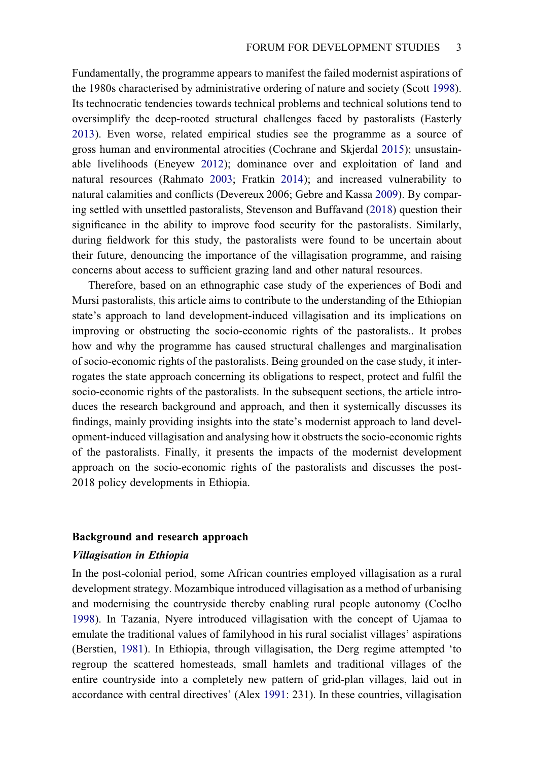<span id="page-3-8"></span><span id="page-3-6"></span><span id="page-3-5"></span><span id="page-3-4"></span><span id="page-3-2"></span>Fundamentally, the programme appears to manifest the failed modernist aspirations of the 1980s characterised by administrative ordering of nature and society (Scott [1998](#page-23-7)). Its technocratic tendencies towards technical problems and technical solutions tend to oversimplify the deep-rooted structural challenges faced by pastoralists (Easterly [2013\)](#page-22-4). Even worse, related empirical studies see the programme as a source of gross human and environmental atrocities (Cochrane and Skjerdal [2015\)](#page-22-5); unsustainable livelihoods (Eneyew [2012\)](#page-22-6); dominance over and exploitation of land and natural resources (Rahmato [2003;](#page-23-8) Fratkin [2014\)](#page-22-7); and increased vulnerability to natural calamities and conflicts (Devereux 2006; Gebre and Kassa [2009\)](#page-22-8). By comparing settled with unsettled pastoralists, Stevenson and Buffavand ([2018\)](#page-23-9) question their significance in the ability to improve food security for the pastoralists. Similarly, during fieldwork for this study, the pastoralists were found to be uncertain about their future, denouncing the importance of the villagisation programme, and raising concerns about access to sufficient grazing land and other natural resources.

<span id="page-3-9"></span><span id="page-3-7"></span>Therefore, based on an ethnographic case study of the experiences of Bodi and Mursi pastoralists, this article aims to contribute to the understanding of the Ethiopian state's approach to land development-induced villagisation and its implications on improving or obstructing the socio-economic rights of the pastoralists.. It probes how and why the programme has caused structural challenges and marginalisation of socio-economic rights of the pastoralists. Being grounded on the case study, it interrogates the state approach concerning its obligations to respect, protect and fulfil the socio-economic rights of the pastoralists. In the subsequent sections, the article introduces the research background and approach, and then it systemically discusses its findings, mainly providing insights into the state's modernist approach to land development-induced villagisation and analysing how it obstructs the socio-economic rights of the pastoralists. Finally, it presents the impacts of the modernist development approach on the socio-economic rights of the pastoralists and discusses the post-2018 policy developments in Ethiopia.

#### Background and research approach

#### Villagisation in Ethiopia

<span id="page-3-3"></span><span id="page-3-1"></span><span id="page-3-0"></span>In the post-colonial period, some African countries employed villagisation as a rural development strategy. Mozambique introduced villagisation as a method of urbanising and modernising the countryside thereby enabling rural people autonomy (Coelho [1998\)](#page-22-9). In Tazania, Nyere introduced villagisation with the concept of Ujamaa to emulate the traditional values of familyhood in his rural socialist villages' aspirations (Berstien, [1981\)](#page-21-0). In Ethiopia, through villagisation, the Derg regime attempted 'to regroup the scattered homesteads, small hamlets and traditional villages of the entire countryside into a completely new pattern of grid-plan villages, laid out in accordance with central directives' (Alex [1991](#page-21-1): 231). In these countries, villagisation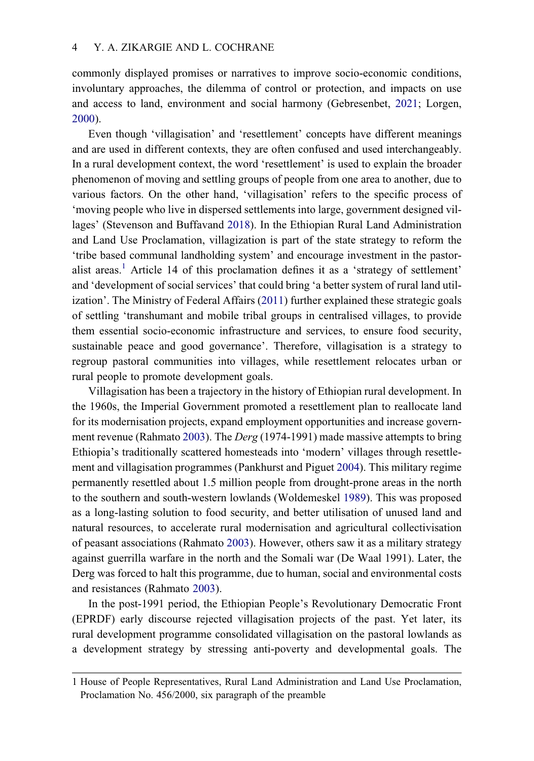<span id="page-4-1"></span>commonly displayed promises or narratives to improve socio-economic conditions, involuntary approaches, the dilemma of control or protection, and impacts on use and access to land, environment and social harmony (Gebresenbet, [2021](#page-22-2); Lorgen, [2000\)](#page-22-10).

Even though 'villagisation' and 'resettlement' concepts have different meanings and are used in different contexts, they are often confused and used interchangeably. In a rural development context, the word 'resettlement' is used to explain the broader phenomenon of moving and settling groups of people from one area to another, due to various factors. On the other hand, 'villagisation' refers to the specific process of 'moving people who live in dispersed settlements into large, government designed villages' (Stevenson and Buffavand [2018](#page-23-9)). In the Ethiopian Rural Land Administration and Land Use Proclamation, villagization is part of the state strategy to reform the 'tribe based communal landholding system' and encourage investment in the pastor-alist areas.<sup>[1](#page-4-0)</sup> Article 14 of this proclamation defines it as a 'strategy of settlement' and 'development of social services' that could bring 'a better system of rural land utilization'. The Ministry of Federal Affairs ([2011\)](#page-23-6) further explained these strategic goals of settling 'transhumant and mobile tribal groups in centralised villages, to provide them essential socio-economic infrastructure and services, to ensure food security, sustainable peace and good governance'. Therefore, villagisation is a strategy to regroup pastoral communities into villages, while resettlement relocates urban or rural people to promote development goals.

<span id="page-4-3"></span><span id="page-4-2"></span>Villagisation has been a trajectory in the history of Ethiopian rural development. In the 1960s, the Imperial Government promoted a resettlement plan to reallocate land for its modernisation projects, expand employment opportunities and increase govern-ment revenue (Rahmato [2003\)](#page-23-8). The Derg (1974-1991) made massive attempts to bring Ethiopia's traditionally scattered homesteads into 'modern' villages through resettlement and villagisation programmes (Pankhurst and Piguet [2004](#page-23-10)). This military regime permanently resettled about 1.5 million people from drought-prone areas in the north to the southern and south-western lowlands (Woldemeskel [1989](#page-23-11)). This was proposed as a long-lasting solution to food security, and better utilisation of unused land and natural resources, to accelerate rural modernisation and agricultural collectivisation of peasant associations (Rahmato [2003\)](#page-23-8). However, others saw it as a military strategy against guerrilla warfare in the north and the Somali war (De Waal 1991). Later, the Derg was forced to halt this programme, due to human, social and environmental costs and resistances (Rahmato [2003](#page-23-8)).

In the post-1991 period, the Ethiopian People's Revolutionary Democratic Front (EPRDF) early discourse rejected villagisation projects of the past. Yet later, its rural development programme consolidated villagisation on the pastoral lowlands as a development strategy by stressing anti-poverty and developmental goals. The

<span id="page-4-0"></span><sup>1</sup> House of People Representatives, Rural Land Administration and Land Use Proclamation, Proclamation No. 456/2000, six paragraph of the preamble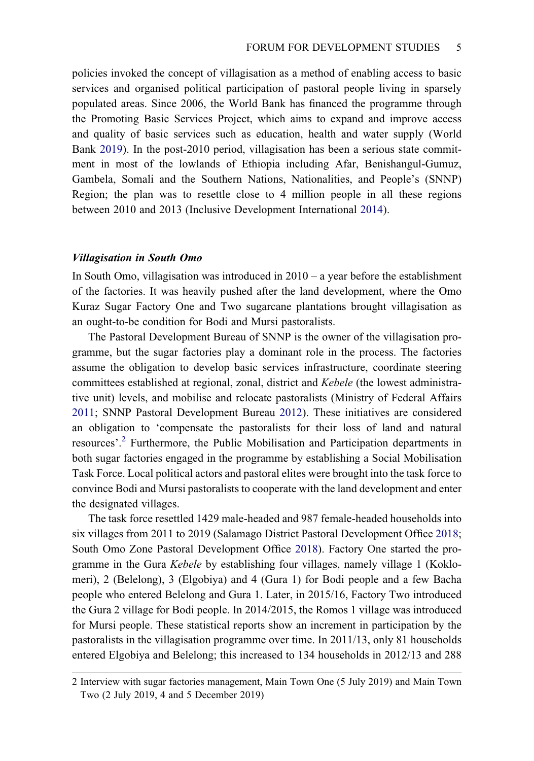<span id="page-5-3"></span>policies invoked the concept of villagisation as a method of enabling access to basic services and organised political participation of pastoral people living in sparsely populated areas. Since 2006, the World Bank has financed the programme through the Promoting Basic Services Project, which aims to expand and improve access and quality of basic services such as education, health and water supply (World Bank [2019](#page-24-1)). In the post-2010 period, villagisation has been a serious state commitment in most of the lowlands of Ethiopia including Afar, Benishangul-Gumuz, Gambela, Somali and the Southern Nations, Nationalities, and People's (SNNP) Region; the plan was to resettle close to 4 million people in all these regions between 2010 and 2013 (Inclusive Development International [2014](#page-22-11)).

#### <span id="page-5-1"></span>Villagisation in South Omo

In South Omo, villagisation was introduced in 2010 – a year before the establishment of the factories. It was heavily pushed after the land development, where the Omo Kuraz Sugar Factory One and Two sugarcane plantations brought villagisation as an ought-to-be condition for Bodi and Mursi pastoralists.

<span id="page-5-2"></span>The Pastoral Development Bureau of SNNP is the owner of the villagisation programme, but the sugar factories play a dominant role in the process. The factories assume the obligation to develop basic services infrastructure, coordinate steering committees established at regional, zonal, district and Kebele (the lowest administrative unit) levels, and mobilise and relocate pastoralists (Ministry of Federal Affairs [2011;](#page-23-6) SNNP Pastoral Development Bureau [2012](#page-23-12)). These initiatives are considered an obligation to 'compensate the pastoralists for their loss of land and natural resources'. [2](#page-5-0) Furthermore, the Public Mobilisation and Participation departments in both sugar factories engaged in the programme by establishing a Social Mobilisation Task Force. Local political actors and pastoral elites were brought into the task force to convince Bodi and Mursi pastoralists to cooperate with the land development and enter the designated villages.

The task force resettled 1429 male-headed and 987 female-headed households into six villages from 2011 to 2019 (Salamago District Pastoral Development Office [2018;](#page-23-1) South Omo Zone Pastoral Development Office [2018\)](#page-23-2). Factory One started the programme in the Gura *Kebele* by establishing four villages, namely village 1 (Koklomeri), 2 (Belelong), 3 (Elgobiya) and 4 (Gura 1) for Bodi people and a few Bacha people who entered Belelong and Gura 1. Later, in 2015/16, Factory Two introduced the Gura 2 village for Bodi people. In 2014/2015, the Romos 1 village was introduced for Mursi people. These statistical reports show an increment in participation by the pastoralists in the villagisation programme over time. In 2011/13, only 81 households entered Elgobiya and Belelong; this increased to 134 households in 2012/13 and 288

<span id="page-5-0"></span><sup>2</sup> Interview with sugar factories management, Main Town One (5 July 2019) and Main Town Two (2 July 2019, 4 and 5 December 2019)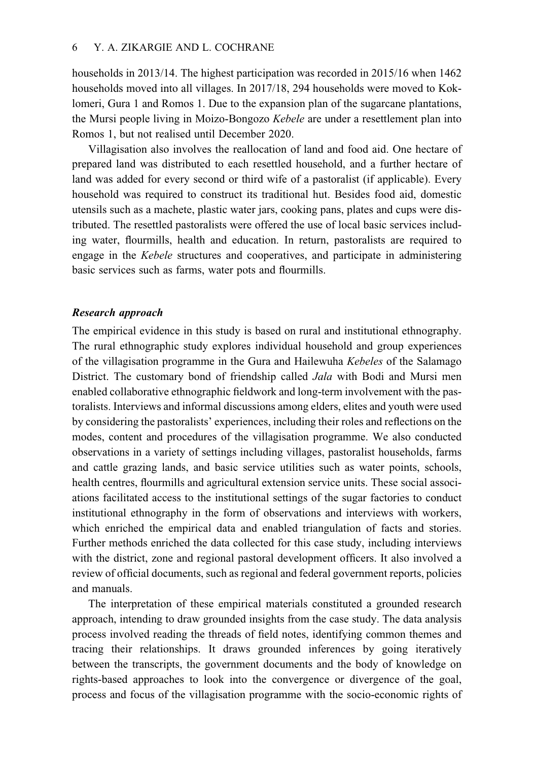households in 2013/14. The highest participation was recorded in 2015/16 when 1462 households moved into all villages. In 2017/18, 294 households were moved to Koklomeri, Gura 1 and Romos 1. Due to the expansion plan of the sugarcane plantations, the Mursi people living in Moizo-Bongozo Kebele are under a resettlement plan into Romos 1, but not realised until December 2020.

Villagisation also involves the reallocation of land and food aid. One hectare of prepared land was distributed to each resettled household, and a further hectare of land was added for every second or third wife of a pastoralist (if applicable). Every household was required to construct its traditional hut. Besides food aid, domestic utensils such as a machete, plastic water jars, cooking pans, plates and cups were distributed. The resettled pastoralists were offered the use of local basic services including water, flourmills, health and education. In return, pastoralists are required to engage in the Kebele structures and cooperatives, and participate in administering basic services such as farms, water pots and flourmills.

# Research approach

The empirical evidence in this study is based on rural and institutional ethnography. The rural ethnographic study explores individual household and group experiences of the villagisation programme in the Gura and Hailewuha Kebeles of the Salamago District. The customary bond of friendship called Jala with Bodi and Mursi men enabled collaborative ethnographic fieldwork and long-term involvement with the pastoralists. Interviews and informal discussions among elders, elites and youth were used by considering the pastoralists' experiences, including their roles and reflections on the modes, content and procedures of the villagisation programme. We also conducted observations in a variety of settings including villages, pastoralist households, farms and cattle grazing lands, and basic service utilities such as water points, schools, health centres, flourmills and agricultural extension service units. These social associations facilitated access to the institutional settings of the sugar factories to conduct institutional ethnography in the form of observations and interviews with workers, which enriched the empirical data and enabled triangulation of facts and stories. Further methods enriched the data collected for this case study, including interviews with the district, zone and regional pastoral development officers. It also involved a review of official documents, such as regional and federal government reports, policies and manuals.

The interpretation of these empirical materials constituted a grounded research approach, intending to draw grounded insights from the case study. The data analysis process involved reading the threads of field notes, identifying common themes and tracing their relationships. It draws grounded inferences by going iteratively between the transcripts, the government documents and the body of knowledge on rights-based approaches to look into the convergence or divergence of the goal, process and focus of the villagisation programme with the socio-economic rights of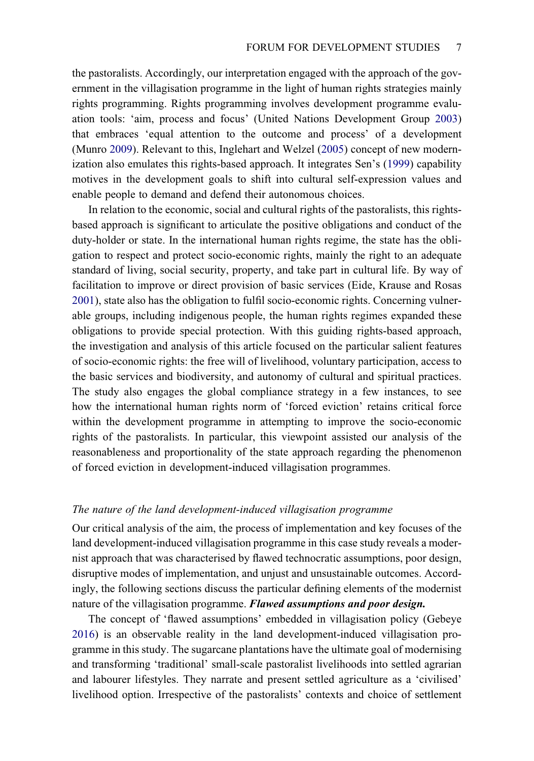<span id="page-7-4"></span><span id="page-7-2"></span>the pastoralists. Accordingly, our interpretation engaged with the approach of the government in the villagisation programme in the light of human rights strategies mainly rights programming. Rights programming involves development programme evaluation tools: 'aim, process and focus' (United Nations Development Group [2003](#page-23-13)) that embraces 'equal attention to the outcome and process' of a development (Munro [2009](#page-23-14)). Relevant to this, Inglehart and Welzel ([2005\)](#page-22-12) concept of new modernization also emulates this rights-based approach. It integrates Sen's ([1999\)](#page-23-15) capability motives in the development goals to shift into cultural self-expression values and enable people to demand and defend their autonomous choices.

<span id="page-7-3"></span><span id="page-7-0"></span>In relation to the economic, social and cultural rights of the pastoralists, this rightsbased approach is significant to articulate the positive obligations and conduct of the duty-holder or state. In the international human rights regime, the state has the obligation to respect and protect socio-economic rights, mainly the right to an adequate standard of living, social security, property, and take part in cultural life. By way of facilitation to improve or direct provision of basic services (Eide, Krause and Rosas [2001\)](#page-22-13), state also has the obligation to fulfil socio-economic rights. Concerning vulnerable groups, including indigenous people, the human rights regimes expanded these obligations to provide special protection. With this guiding rights-based approach, the investigation and analysis of this article focused on the particular salient features of socio-economic rights: the free will of livelihood, voluntary participation, access to the basic services and biodiversity, and autonomy of cultural and spiritual practices. The study also engages the global compliance strategy in a few instances, to see how the international human rights norm of 'forced eviction' retains critical force within the development programme in attempting to improve the socio-economic rights of the pastoralists. In particular, this viewpoint assisted our analysis of the reasonableness and proportionality of the state approach regarding the phenomenon of forced eviction in development-induced villagisation programmes.

# The nature of the land development-induced villagisation programme

Our critical analysis of the aim, the process of implementation and key focuses of the land development-induced villagisation programme in this case study reveals a modernist approach that was characterised by flawed technocratic assumptions, poor design, disruptive modes of implementation, and unjust and unsustainable outcomes. Accordingly, the following sections discuss the particular defining elements of the modernist nature of the villagisation programme. Flawed assumptions and poor design.

<span id="page-7-1"></span>The concept of 'flawed assumptions' embedded in villagisation policy (Gebeye [2016\)](#page-22-14) is an observable reality in the land development-induced villagisation programme in this study. The sugarcane plantations have the ultimate goal of modernising and transforming 'traditional' small-scale pastoralist livelihoods into settled agrarian and labourer lifestyles. They narrate and present settled agriculture as a 'civilised' livelihood option. Irrespective of the pastoralists' contexts and choice of settlement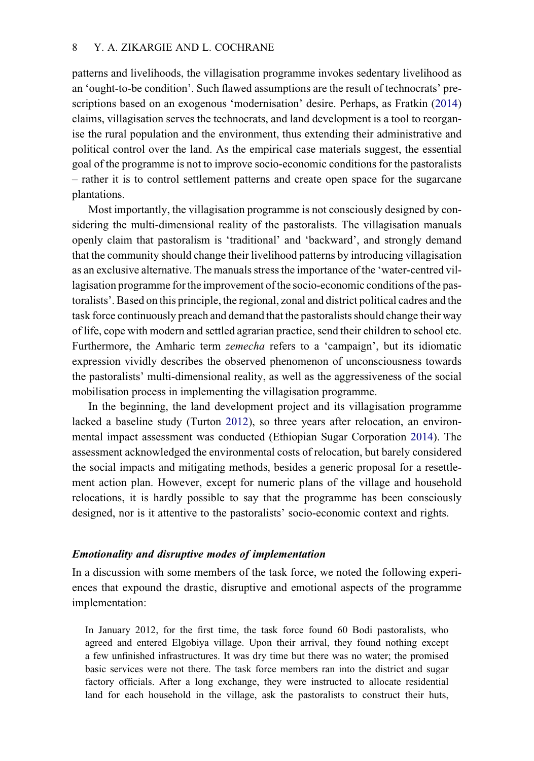patterns and livelihoods, the villagisation programme invokes sedentary livelihood as an 'ought-to-be condition'. Such flawed assumptions are the result of technocrats' prescriptions based on an exogenous 'modernisation' desire. Perhaps, as Fratkin [\(2014](#page-22-7)) claims, villagisation serves the technocrats, and land development is a tool to reorganise the rural population and the environment, thus extending their administrative and political control over the land. As the empirical case materials suggest, the essential goal of the programme is not to improve socio-economic conditions for the pastoralists – rather it is to control settlement patterns and create open space for the sugarcane plantations.

Most importantly, the villagisation programme is not consciously designed by considering the multi-dimensional reality of the pastoralists. The villagisation manuals openly claim that pastoralism is 'traditional' and 'backward', and strongly demand that the community should change their livelihood patterns by introducing villagisation as an exclusive alternative. The manuals stress the importance of the 'water-centred villagisation programme for the improvement of the socio-economic conditions of the pastoralists'. Based on this principle, the regional, zonal and district political cadres and the task force continuously preach and demand that the pastoralists should change their way of life, cope with modern and settled agrarian practice, send their children to school etc. Furthermore, the Amharic term zemecha refers to a 'campaign', but its idiomatic expression vividly describes the observed phenomenon of unconsciousness towards the pastoralists' multi-dimensional reality, as well as the aggressiveness of the social mobilisation process in implementing the villagisation programme.

<span id="page-8-1"></span><span id="page-8-0"></span>In the beginning, the land development project and its villagisation programme lacked a baseline study (Turton [2012\)](#page-23-16), so three years after relocation, an environmental impact assessment was conducted (Ethiopian Sugar Corporation [2014](#page-22-15)). The assessment acknowledged the environmental costs of relocation, but barely considered the social impacts and mitigating methods, besides a generic proposal for a resettlement action plan. However, except for numeric plans of the village and household relocations, it is hardly possible to say that the programme has been consciously designed, nor is it attentive to the pastoralists' socio-economic context and rights.

# Emotionality and disruptive modes of implementation

In a discussion with some members of the task force, we noted the following experiences that expound the drastic, disruptive and emotional aspects of the programme implementation:

In January 2012, for the first time, the task force found 60 Bodi pastoralists, who agreed and entered Elgobiya village. Upon their arrival, they found nothing except a few unfinished infrastructures. It was dry time but there was no water; the promised basic services were not there. The task force members ran into the district and sugar factory officials. After a long exchange, they were instructed to allocate residential land for each household in the village, ask the pastoralists to construct their huts,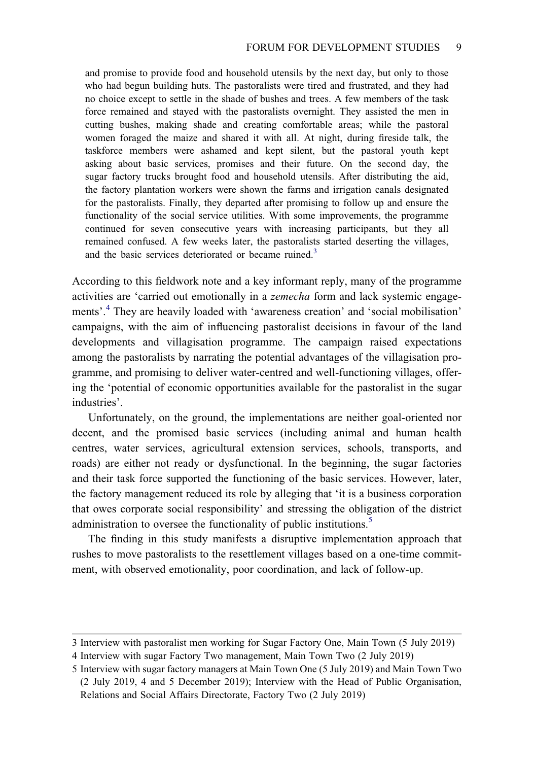and promise to provide food and household utensils by the next day, but only to those who had begun building huts. The pastoralists were tired and frustrated, and they had no choice except to settle in the shade of bushes and trees. A few members of the task force remained and stayed with the pastoralists overnight. They assisted the men in cutting bushes, making shade and creating comfortable areas; while the pastoral women foraged the maize and shared it with all. At night, during fireside talk, the taskforce members were ashamed and kept silent, but the pastoral youth kept asking about basic services, promises and their future. On the second day, the sugar factory trucks brought food and household utensils. After distributing the aid, the factory plantation workers were shown the farms and irrigation canals designated for the pastoralists. Finally, they departed after promising to follow up and ensure the functionality of the social service utilities. With some improvements, the programme continued for seven consecutive years with increasing participants, but they all remained confused. A few weeks later, the pastoralists started deserting the villages, and the basic services deteriorated or became ruined.<sup>[3](#page-9-0)</sup>

According to this fieldwork note and a key informant reply, many of the programme activities are 'carried out emotionally in a zemecha form and lack systemic engagements'. [4](#page-9-1) They are heavily loaded with 'awareness creation' and 'social mobilisation' campaigns, with the aim of influencing pastoralist decisions in favour of the land developments and villagisation programme. The campaign raised expectations among the pastoralists by narrating the potential advantages of the villagisation programme, and promising to deliver water-centred and well-functioning villages, offering the 'potential of economic opportunities available for the pastoralist in the sugar industries'.

Unfortunately, on the ground, the implementations are neither goal-oriented nor decent, and the promised basic services (including animal and human health centres, water services, agricultural extension services, schools, transports, and roads) are either not ready or dysfunctional. In the beginning, the sugar factories and their task force supported the functioning of the basic services. However, later, the factory management reduced its role by alleging that 'it is a business corporation that owes corporate social responsibility' and stressing the obligation of the district administration to oversee the functionality of public institutions.<sup>5</sup>

The finding in this study manifests a disruptive implementation approach that rushes to move pastoralists to the resettlement villages based on a one-time commitment, with observed emotionality, poor coordination, and lack of follow-up.

<span id="page-9-1"></span><span id="page-9-0"></span><sup>3</sup> Interview with pastoralist men working for Sugar Factory One, Main Town (5 July 2019)

<span id="page-9-2"></span><sup>4</sup> Interview with sugar Factory Two management, Main Town Two (2 July 2019)

<sup>5</sup> Interview with sugar factory managers at Main Town One (5 July 2019) and Main Town Two (2 July 2019, 4 and 5 December 2019); Interview with the Head of Public Organisation, Relations and Social Affairs Directorate, Factory Two (2 July 2019)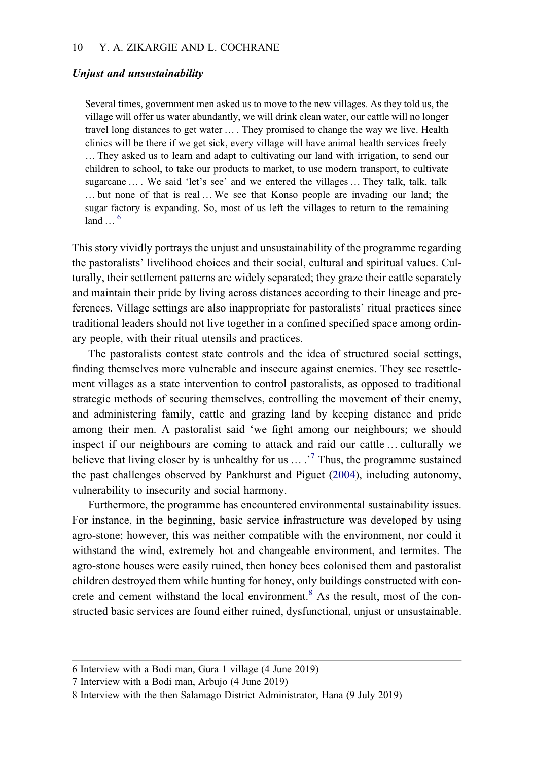#### Unjust and unsustainability

Several times, government men asked us to move to the new villages. As they told us, the village will offer us water abundantly, we will drink clean water, our cattle will no longer travel long distances to get water … . They promised to change the way we live. Health clinics will be there if we get sick, every village will have animal health services freely … They asked us to learn and adapt to cultivating our land with irrigation, to send our children to school, to take our products to market, to use modern transport, to cultivate sugarcane ... We said 'let's see' and we entered the villages ... They talk, talk, talk … but none of that is real … We see that Konso people are invading our land; the sugar factory is expanding. So, most of us left the villages to return to the remaining  $land \t\t 6$  $land \t\t 6$ 

This story vividly portrays the unjust and unsustainability of the programme regarding the pastoralists' livelihood choices and their social, cultural and spiritual values. Culturally, their settlement patterns are widely separated; they graze their cattle separately and maintain their pride by living across distances according to their lineage and preferences. Village settings are also inappropriate for pastoralists' ritual practices since traditional leaders should not live together in a confined specified space among ordinary people, with their ritual utensils and practices.

The pastoralists contest state controls and the idea of structured social settings, finding themselves more vulnerable and insecure against enemies. They see resettlement villages as a state intervention to control pastoralists, as opposed to traditional strategic methods of securing themselves, controlling the movement of their enemy, and administering family, cattle and grazing land by keeping distance and pride among their men. A pastoralist said 'we fight among our neighbours; we should inspect if our neighbours are coming to attack and raid our cattle … culturally we believe that living closer by is unhealthy for us  $\ldots$ .<sup>[7](#page-10-1)</sup> Thus, the programme sustained the past challenges observed by Pankhurst and Piguet [\(2004](#page-23-10)), including autonomy, vulnerability to insecurity and social harmony.

Furthermore, the programme has encountered environmental sustainability issues. For instance, in the beginning, basic service infrastructure was developed by using agro-stone; however, this was neither compatible with the environment, nor could it withstand the wind, extremely hot and changeable environment, and termites. The agro-stone houses were easily ruined, then honey bees colonised them and pastoralist children destroyed them while hunting for honey, only buildings constructed with con-crete and cement withstand the local environment.<sup>[8](#page-10-2)</sup> As the result, most of the constructed basic services are found either ruined, dysfunctional, unjust or unsustainable.

<span id="page-10-1"></span><span id="page-10-0"></span><sup>6</sup> Interview with a Bodi man, Gura 1 village (4 June 2019)

<span id="page-10-2"></span><sup>7</sup> Interview with a Bodi man, Arbujo (4 June 2019)

<sup>8</sup> Interview with the then Salamago District Administrator, Hana (9 July 2019)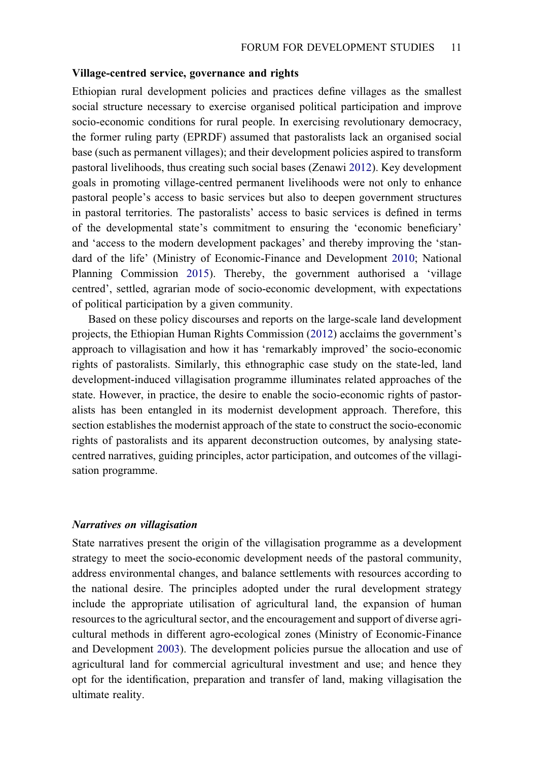#### Village-centred service, governance and rights

Ethiopian rural development policies and practices define villages as the smallest social structure necessary to exercise organised political participation and improve socio-economic conditions for rural people. In exercising revolutionary democracy, the former ruling party (EPRDF) assumed that pastoralists lack an organised social base (such as permanent villages); and their development policies aspired to transform pastoral livelihoods, thus creating such social bases (Zenawi [2012\)](#page-24-0). Key development goals in promoting village-centred permanent livelihoods were not only to enhance pastoral people's access to basic services but also to deepen government structures in pastoral territories. The pastoralists' access to basic services is defined in terms of the developmental state's commitment to ensuring the 'economic beneficiary' and 'access to the modern development packages' and thereby improving the 'standard of the life' (Ministry of Economic-Finance and Development [2010](#page-23-4); National Planning Commission [2015](#page-23-5)). Thereby, the government authorised a 'village centred', settled, agrarian mode of socio-economic development, with expectations of political participation by a given community.

Based on these policy discourses and reports on the large-scale land development projects, the Ethiopian Human Rights Commission ([2012\)](#page-22-3) acclaims the government's approach to villagisation and how it has 'remarkably improved' the socio-economic rights of pastoralists. Similarly, this ethnographic case study on the state-led, land development-induced villagisation programme illuminates related approaches of the state. However, in practice, the desire to enable the socio-economic rights of pastoralists has been entangled in its modernist development approach. Therefore, this section establishes the modernist approach of the state to construct the socio-economic rights of pastoralists and its apparent deconstruction outcomes, by analysing statecentred narratives, guiding principles, actor participation, and outcomes of the villagisation programme.

#### Narratives on villagisation

<span id="page-11-0"></span>State narratives present the origin of the villagisation programme as a development strategy to meet the socio-economic development needs of the pastoral community, address environmental changes, and balance settlements with resources according to the national desire. The principles adopted under the rural development strategy include the appropriate utilisation of agricultural land, the expansion of human resources to the agricultural sector, and the encouragement and support of diverse agricultural methods in different agro-ecological zones (Ministry of Economic-Finance and Development [2003](#page-22-16)). The development policies pursue the allocation and use of agricultural land for commercial agricultural investment and use; and hence they opt for the identification, preparation and transfer of land, making villagisation the ultimate reality.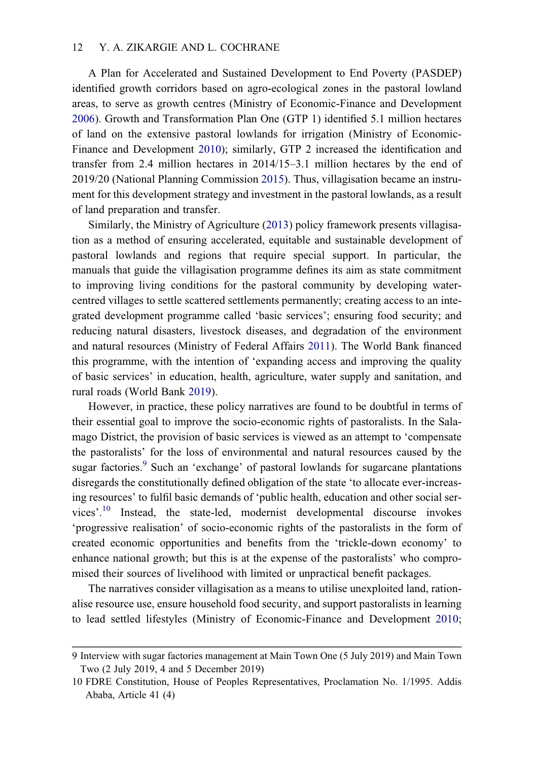#### 12 Y. A. ZIKARGIE AND L. COCHRANE

A Plan for Accelerated and Sustained Development to End Poverty (PASDEP) identified growth corridors based on agro-ecological zones in the pastoral lowland areas, to serve as growth centres (Ministry of Economic-Finance and Development [2006\)](#page-23-17). Growth and Transformation Plan One (GTP 1) identified 5.1 million hectares of land on the extensive pastoral lowlands for irrigation (Ministry of Economic-Finance and Development [2010](#page-23-4)); similarly, GTP 2 increased the identification and transfer from 2.4 million hectares in 2014/15–3.1 million hectares by the end of 2019/20 (National Planning Commission [2015\)](#page-23-5). Thus, villagisation became an instrument for this development strategy and investment in the pastoral lowlands, as a result of land preparation and transfer.

<span id="page-12-2"></span>Similarly, the Ministry of Agriculture ([2013\)](#page-22-17) policy framework presents villagisation as a method of ensuring accelerated, equitable and sustainable development of pastoral lowlands and regions that require special support. In particular, the manuals that guide the villagisation programme defines its aim as state commitment to improving living conditions for the pastoral community by developing watercentred villages to settle scattered settlements permanently; creating access to an integrated development programme called 'basic services'; ensuring food security; and reducing natural disasters, livestock diseases, and degradation of the environment and natural resources (Ministry of Federal Affairs [2011\)](#page-23-6). The World Bank financed this programme, with the intention of 'expanding access and improving the quality of basic services' in education, health, agriculture, water supply and sanitation, and rural roads (World Bank [2019](#page-24-1)).

However, in practice, these policy narratives are found to be doubtful in terms of their essential goal to improve the socio-economic rights of pastoralists. In the Salamago District, the provision of basic services is viewed as an attempt to 'compensate the pastoralists' for the loss of environmental and natural resources caused by the sugar factories.<sup>[9](#page-12-0)</sup> Such an 'exchange' of pastoral lowlands for sugarcane plantations disregards the constitutionally defined obligation of the state 'to allocate ever-increasing resources' to fulfil basic demands of 'public health, education and other social services'. [10](#page-12-1) Instead, the state-led, modernist developmental discourse invokes 'progressive realisation' of socio-economic rights of the pastoralists in the form of created economic opportunities and benefits from the 'trickle-down economy' to enhance national growth; but this is at the expense of the pastoralists' who compromised their sources of livelihood with limited or unpractical benefit packages.

<span id="page-12-3"></span>The narratives consider villagisation as a means to utilise unexploited land, rationalise resource use, ensure household food security, and support pastoralists in learning to lead settled lifestyles (Ministry of Economic-Finance and Development [2010;](#page-23-4)

<span id="page-12-1"></span><span id="page-12-0"></span><sup>9</sup> Interview with sugar factories management at Main Town One (5 July 2019) and Main Town Two (2 July 2019, 4 and 5 December 2019)

<sup>10</sup> FDRE Constitution, House of Peoples Representatives, Proclamation No. 1/1995. Addis Ababa, Article 41 (4)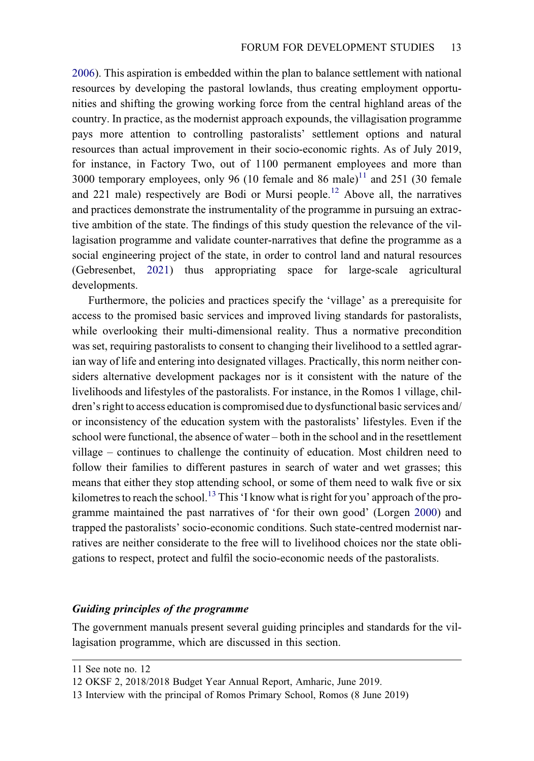[2006\)](#page-23-17). This aspiration is embedded within the plan to balance settlement with national resources by developing the pastoral lowlands, thus creating employment opportunities and shifting the growing working force from the central highland areas of the country. In practice, as the modernist approach expounds, the villagisation programme pays more attention to controlling pastoralists' settlement options and natural resources than actual improvement in their socio-economic rights. As of July 2019, for instance, in Factory Two, out of 1100 permanent employees and more than 3000 temporary employees, only 96 (10 female and 86 male)<sup>11</sup> and 251 (30 female and 221 male) respectively are Bodi or Mursi people.<sup>[12](#page-13-1)</sup> Above all, the narratives and practices demonstrate the instrumentality of the programme in pursuing an extractive ambition of the state. The findings of this study question the relevance of the villagisation programme and validate counter-narratives that define the programme as a social engineering project of the state, in order to control land and natural resources (Gebresenbet, [2021\)](#page-22-2) thus appropriating space for large-scale agricultural developments.

Furthermore, the policies and practices specify the 'village' as a prerequisite for access to the promised basic services and improved living standards for pastoralists, while overlooking their multi-dimensional reality. Thus a normative precondition was set, requiring pastoralists to consent to changing their livelihood to a settled agrarian way of life and entering into designated villages. Practically, this norm neither considers alternative development packages nor is it consistent with the nature of the livelihoods and lifestyles of the pastoralists. For instance, in the Romos 1 village, children's right to access education is compromised due to dysfunctional basic services and/ or inconsistency of the education system with the pastoralists' lifestyles. Even if the school were functional, the absence of water – both in the school and in the resettlement village – continues to challenge the continuity of education. Most children need to follow their families to different pastures in search of water and wet grasses; this means that either they stop attending school, or some of them need to walk five or six kilometres to reach the school.<sup>[13](#page-13-2)</sup> This 'I know what is right for you' approach of the programme maintained the past narratives of 'for their own good' (Lorgen [2000\)](#page-22-10) and trapped the pastoralists' socio-economic conditions. Such state-centred modernist narratives are neither considerate to the free will to livelihood choices nor the state obligations to respect, protect and fulfil the socio-economic needs of the pastoralists.

#### Guiding principles of the programme

The government manuals present several guiding principles and standards for the villagisation programme, which are discussed in this section.

<span id="page-13-1"></span><span id="page-13-0"></span><sup>11</sup> See note no. 12

<span id="page-13-2"></span><sup>12</sup> OKSF 2, 2018/2018 Budget Year Annual Report, Amharic, June 2019.

<sup>13</sup> Interview with the principal of Romos Primary School, Romos (8 June 2019)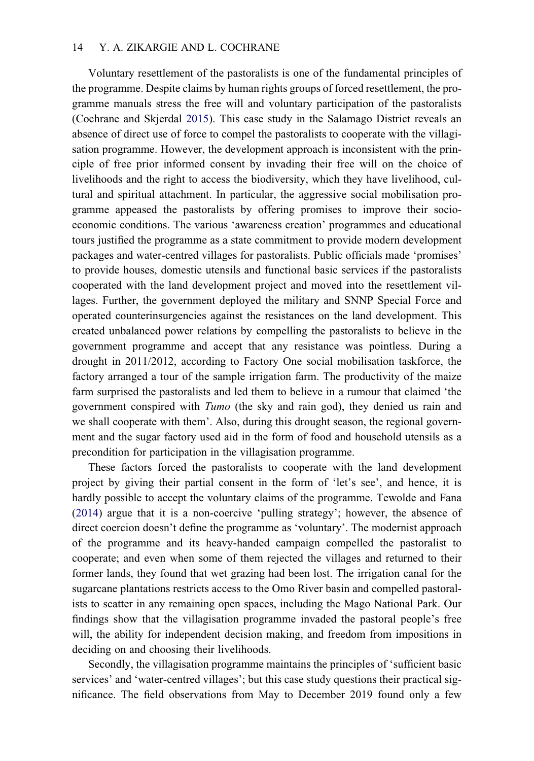# 14 Y. A. ZIKARGIE AND L. COCHRANE

Voluntary resettlement of the pastoralists is one of the fundamental principles of the programme. Despite claims by human rights groups of forced resettlement, the programme manuals stress the free will and voluntary participation of the pastoralists (Cochrane and Skjerdal [2015\)](#page-22-5). This case study in the Salamago District reveals an absence of direct use of force to compel the pastoralists to cooperate with the villagisation programme. However, the development approach is inconsistent with the principle of free prior informed consent by invading their free will on the choice of livelihoods and the right to access the biodiversity, which they have livelihood, cultural and spiritual attachment. In particular, the aggressive social mobilisation programme appeased the pastoralists by offering promises to improve their socioeconomic conditions. The various 'awareness creation' programmes and educational tours justified the programme as a state commitment to provide modern development packages and water-centred villages for pastoralists. Public officials made 'promises' to provide houses, domestic utensils and functional basic services if the pastoralists cooperated with the land development project and moved into the resettlement villages. Further, the government deployed the military and SNNP Special Force and operated counterinsurgencies against the resistances on the land development. This created unbalanced power relations by compelling the pastoralists to believe in the government programme and accept that any resistance was pointless. During a drought in 2011/2012, according to Factory One social mobilisation taskforce, the factory arranged a tour of the sample irrigation farm. The productivity of the maize farm surprised the pastoralists and led them to believe in a rumour that claimed 'the government conspired with Tumo (the sky and rain god), they denied us rain and we shall cooperate with them'. Also, during this drought season, the regional government and the sugar factory used aid in the form of food and household utensils as a precondition for participation in the villagisation programme.

<span id="page-14-0"></span>These factors forced the pastoralists to cooperate with the land development project by giving their partial consent in the form of 'let's see', and hence, it is hardly possible to accept the voluntary claims of the programme. Tewolde and Fana [\(2014](#page-23-18)) argue that it is a non-coercive 'pulling strategy'; however, the absence of direct coercion doesn't define the programme as 'voluntary'. The modernist approach of the programme and its heavy-handed campaign compelled the pastoralist to cooperate; and even when some of them rejected the villages and returned to their former lands, they found that wet grazing had been lost. The irrigation canal for the sugarcane plantations restricts access to the Omo River basin and compelled pastoralists to scatter in any remaining open spaces, including the Mago National Park. Our findings show that the villagisation programme invaded the pastoral people's free will, the ability for independent decision making, and freedom from impositions in deciding on and choosing their livelihoods.

Secondly, the villagisation programme maintains the principles of 'sufficient basic services' and 'water-centred villages'; but this case study questions their practical significance. The field observations from May to December 2019 found only a few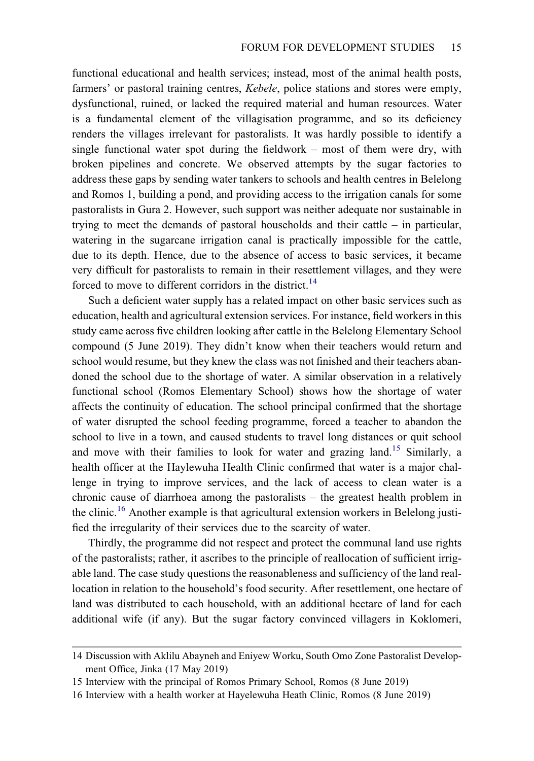functional educational and health services; instead, most of the animal health posts, farmers' or pastoral training centres, *Kebele*, police stations and stores were empty, dysfunctional, ruined, or lacked the required material and human resources. Water is a fundamental element of the villagisation programme, and so its deficiency renders the villages irrelevant for pastoralists. It was hardly possible to identify a single functional water spot during the fieldwork – most of them were dry, with broken pipelines and concrete. We observed attempts by the sugar factories to address these gaps by sending water tankers to schools and health centres in Belelong and Romos 1, building a pond, and providing access to the irrigation canals for some pastoralists in Gura 2. However, such support was neither adequate nor sustainable in trying to meet the demands of pastoral households and their cattle – in particular, watering in the sugarcane irrigation canal is practically impossible for the cattle, due to its depth. Hence, due to the absence of access to basic services, it became very difficult for pastoralists to remain in their resettlement villages, and they were forced to move to different corridors in the district.<sup>14</sup>

Such a deficient water supply has a related impact on other basic services such as education, health and agricultural extension services. For instance, field workers in this study came across five children looking after cattle in the Belelong Elementary School compound (5 June 2019). They didn't know when their teachers would return and school would resume, but they knew the class was not finished and their teachers abandoned the school due to the shortage of water. A similar observation in a relatively functional school (Romos Elementary School) shows how the shortage of water affects the continuity of education. The school principal confirmed that the shortage of water disrupted the school feeding programme, forced a teacher to abandon the school to live in a town, and caused students to travel long distances or quit school and move with their families to look for water and grazing land.<sup>[15](#page-15-1)</sup> Similarly, a health officer at the Haylewuha Health Clinic confirmed that water is a major challenge in trying to improve services, and the lack of access to clean water is a chronic cause of diarrhoea among the pastoralists – the greatest health problem in the clinic.<sup>[16](#page-15-2)</sup> Another example is that agricultural extension workers in Belelong justified the irregularity of their services due to the scarcity of water.

Thirdly, the programme did not respect and protect the communal land use rights of the pastoralists; rather, it ascribes to the principle of reallocation of sufficient irrigable land. The case study questions the reasonableness and sufficiency of the land reallocation in relation to the household's food security. After resettlement, one hectare of land was distributed to each household, with an additional hectare of land for each additional wife (if any). But the sugar factory convinced villagers in Koklomeri,

<span id="page-15-1"></span><span id="page-15-0"></span><sup>14</sup> Discussion with Aklilu Abayneh and Eniyew Worku, South Omo Zone Pastoralist Development Office, Jinka (17 May 2019)

<span id="page-15-2"></span><sup>15</sup> Interview with the principal of Romos Primary School, Romos (8 June 2019)

<sup>16</sup> Interview with a health worker at Hayelewuha Heath Clinic, Romos (8 June 2019)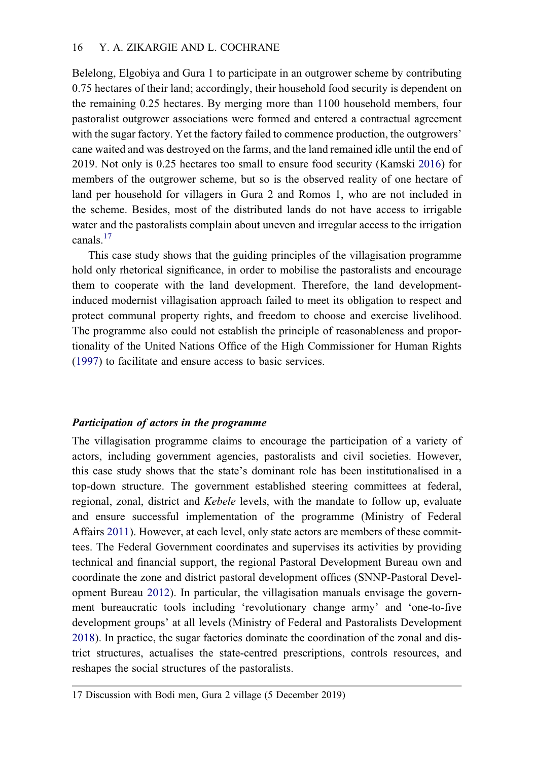Belelong, Elgobiya and Gura 1 to participate in an outgrower scheme by contributing 0.75 hectares of their land; accordingly, their household food security is dependent on the remaining 0.25 hectares. By merging more than 1100 household members, four pastoralist outgrower associations were formed and entered a contractual agreement with the sugar factory. Yet the factory failed to commence production, the outgrowers' cane waited and was destroyed on the farms, and the land remained idle until the end of 2019. Not only is 0.25 hectares too small to ensure food security (Kamski [2016\)](#page-22-1) for members of the outgrower scheme, but so is the observed reality of one hectare of land per household for villagers in Gura 2 and Romos 1, who are not included in the scheme. Besides, most of the distributed lands do not have access to irrigable water and the pastoralists complain about uneven and irregular access to the irrigation canals.<sup>17</sup>

This case study shows that the guiding principles of the villagisation programme hold only rhetorical significance, in order to mobilise the pastoralists and encourage them to cooperate with the land development. Therefore, the land developmentinduced modernist villagisation approach failed to meet its obligation to respect and protect communal property rights, and freedom to choose and exercise livelihood. The programme also could not establish the principle of reasonableness and proportionality of the United Nations Office of the High Commissioner for Human Rights [\(1997](#page-23-19)) to facilitate and ensure access to basic services.

#### <span id="page-16-2"></span>Participation of actors in the programme

The villagisation programme claims to encourage the participation of a variety of actors, including government agencies, pastoralists and civil societies. However, this case study shows that the state's dominant role has been institutionalised in a top-down structure. The government established steering committees at federal, regional, zonal, district and Kebele levels, with the mandate to follow up, evaluate and ensure successful implementation of the programme (Ministry of Federal Affairs [2011\)](#page-23-6). However, at each level, only state actors are members of these committees. The Federal Government coordinates and supervises its activities by providing technical and financial support, the regional Pastoral Development Bureau own and coordinate the zone and district pastoral development offices (SNNP-Pastoral Development Bureau [2012\)](#page-23-12). In particular, the villagisation manuals envisage the government bureaucratic tools including 'revolutionary change army' and 'one-to-five development groups' at all levels (Ministry of Federal and Pastoralists Development [2018\)](#page-23-20). In practice, the sugar factories dominate the coordination of the zonal and district structures, actualises the state-centred prescriptions, controls resources, and reshapes the social structures of the pastoralists.

<span id="page-16-1"></span><span id="page-16-0"></span><sup>17</sup> Discussion with Bodi men, Gura 2 village (5 December 2019)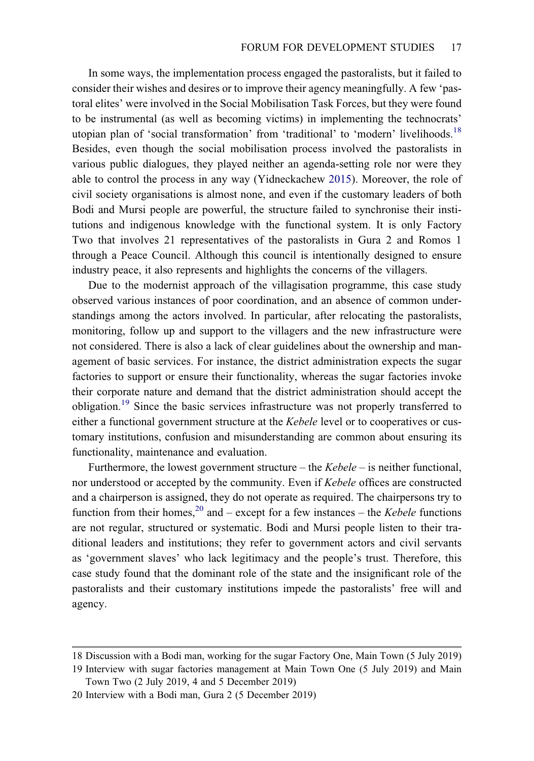<span id="page-17-3"></span>In some ways, the implementation process engaged the pastoralists, but it failed to consider their wishes and desires or to improve their agency meaningfully. A few 'pastoral elites' were involved in the Social Mobilisation Task Forces, but they were found to be instrumental (as well as becoming victims) in implementing the technocrats' utopian plan of 'social transformation' from 'traditional' to 'modern' livelihoods.<sup>[18](#page-17-0)</sup> Besides, even though the social mobilisation process involved the pastoralists in various public dialogues, they played neither an agenda-setting role nor were they able to control the process in any way (Yidneckachew [2015\)](#page-24-2). Moreover, the role of civil society organisations is almost none, and even if the customary leaders of both Bodi and Mursi people are powerful, the structure failed to synchronise their institutions and indigenous knowledge with the functional system. It is only Factory Two that involves 21 representatives of the pastoralists in Gura 2 and Romos 1 through a Peace Council. Although this council is intentionally designed to ensure industry peace, it also represents and highlights the concerns of the villagers.

Due to the modernist approach of the villagisation programme, this case study observed various instances of poor coordination, and an absence of common understandings among the actors involved. In particular, after relocating the pastoralists, monitoring, follow up and support to the villagers and the new infrastructure were not considered. There is also a lack of clear guidelines about the ownership and management of basic services. For instance, the district administration expects the sugar factories to support or ensure their functionality, whereas the sugar factories invoke their corporate nature and demand that the district administration should accept the obligation.[19](#page-17-1) Since the basic services infrastructure was not properly transferred to either a functional government structure at the *Kebele* level or to cooperatives or customary institutions, confusion and misunderstanding are common about ensuring its functionality, maintenance and evaluation.

Furthermore, the lowest government structure – the  $Kebele -$  is neither functional, nor understood or accepted by the community. Even if Kebele offices are constructed and a chairperson is assigned, they do not operate as required. The chairpersons try to function from their homes,<sup>[20](#page-17-2)</sup> and – except for a few instances – the *Kebele* functions are not regular, structured or systematic. Bodi and Mursi people listen to their traditional leaders and institutions; they refer to government actors and civil servants as 'government slaves' who lack legitimacy and the people's trust. Therefore, this case study found that the dominant role of the state and the insignificant role of the pastoralists and their customary institutions impede the pastoralists' free will and agency.

<span id="page-17-1"></span><span id="page-17-0"></span><sup>18</sup> Discussion with a Bodi man, working for the sugar Factory One, Main Town (5 July 2019)

<span id="page-17-2"></span><sup>19</sup> Interview with sugar factories management at Main Town One (5 July 2019) and Main Town Two (2 July 2019, 4 and 5 December 2019)

<sup>20</sup> Interview with a Bodi man, Gura 2 (5 December 2019)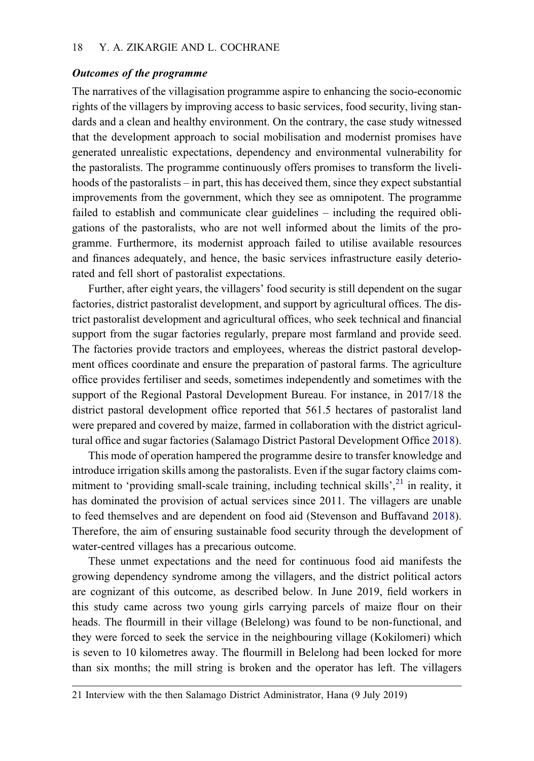#### Outcomes of the programme

The narratives of the villagisation programme aspire to enhancing the socio-economic rights of the villagers by improving access to basic services, food security, living standards and a clean and healthy environment. On the contrary, the case study witnessed that the development approach to social mobilisation and modernist promises have generated unrealistic expectations, dependency and environmental vulnerability for the pastoralists. The programme continuously offers promises to transform the livelihoods of the pastoralists – in part, this has deceived them, since they expect substantial improvements from the government, which they see as omnipotent. The programme failed to establish and communicate clear guidelines – including the required obligations of the pastoralists, who are not well informed about the limits of the programme. Furthermore, its modernist approach failed to utilise available resources and finances adequately, and hence, the basic services infrastructure easily deteriorated and fell short of pastoralist expectations.

Further, after eight years, the villagers' food security is still dependent on the sugar factories, district pastoralist development, and support by agricultural offices. The district pastoralist development and agricultural offices, who seek technical and financial support from the sugar factories regularly, prepare most farmland and provide seed. The factories provide tractors and employees, whereas the district pastoral development offices coordinate and ensure the preparation of pastoral farms. The agriculture office provides fertiliser and seeds, sometimes independently and sometimes with the support of the Regional Pastoral Development Bureau. For instance, in 2017/18 the district pastoral development office reported that 561.5 hectares of pastoralist land were prepared and covered by maize, farmed in collaboration with the district agricultural office and sugar factories (Salamago District Pastoral Development Office [2018](#page-23-1)).

This mode of operation hampered the programme desire to transfer knowledge and introduce irrigation skills among the pastoralists. Even if the sugar factory claims com-mitment to 'providing small-scale training, including technical skills',<sup>[21](#page-18-0)</sup> in reality, it has dominated the provision of actual services since 2011. The villagers are unable to feed themselves and are dependent on food aid (Stevenson and Buffavand [2018](#page-23-9)). Therefore, the aim of ensuring sustainable food security through the development of water-centred villages has a precarious outcome.

These unmet expectations and the need for continuous food aid manifests the growing dependency syndrome among the villagers, and the district political actors are cognizant of this outcome, as described below. In June 2019, field workers in this study came across two young girls carrying parcels of maize flour on their heads. The flourmill in their village (Belelong) was found to be non-functional, and they were forced to seek the service in the neighbouring village (Kokilomeri) which is seven to 10 kilometres away. The flourmill in Belelong had been locked for more than six months; the mill string is broken and the operator has left. The villagers

<span id="page-18-0"></span><sup>21</sup> Interview with the then Salamago District Administrator, Hana (9 July 2019)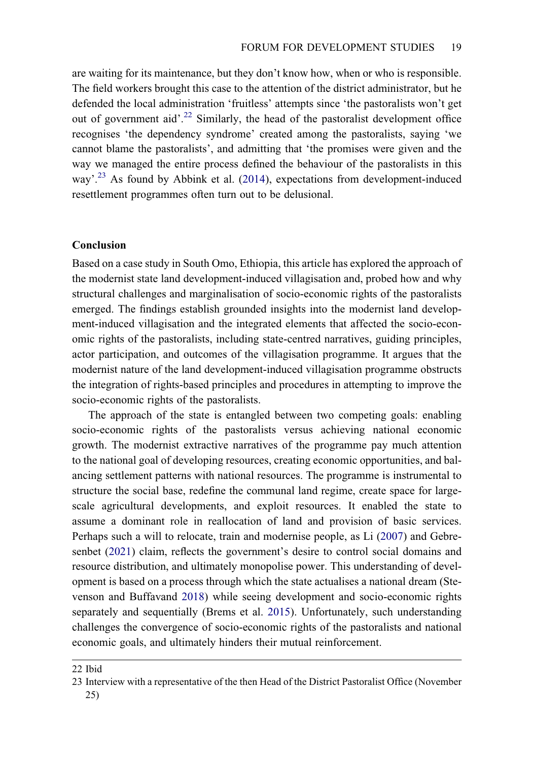are waiting for its maintenance, but they don't know how, when or who is responsible. The field workers brought this case to the attention of the district administrator, but he defended the local administration 'fruitless' attempts since 'the pastoralists won't get out of government aid'.<sup>[22](#page-19-0)</sup> Similarly, the head of the pastoralist development office recognises 'the dependency syndrome' created among the pastoralists, saying 'we cannot blame the pastoralists', and admitting that 'the promises were given and the way we managed the entire process defined the behaviour of the pastoralists in this way'.<sup>[23](#page-19-1)</sup> As found by Abbink et al. [\(2014](#page-21-2)), expectations from development-induced resettlement programmes often turn out to be delusional.

# <span id="page-19-2"></span>Conclusion

Based on a case study in South Omo, Ethiopia, this article has explored the approach of the modernist state land development-induced villagisation and, probed how and why structural challenges and marginalisation of socio-economic rights of the pastoralists emerged. The findings establish grounded insights into the modernist land development-induced villagisation and the integrated elements that affected the socio-economic rights of the pastoralists, including state-centred narratives, guiding principles, actor participation, and outcomes of the villagisation programme. It argues that the modernist nature of the land development-induced villagisation programme obstructs the integration of rights-based principles and procedures in attempting to improve the socio-economic rights of the pastoralists.

<span id="page-19-4"></span>The approach of the state is entangled between two competing goals: enabling socio-economic rights of the pastoralists versus achieving national economic growth. The modernist extractive narratives of the programme pay much attention to the national goal of developing resources, creating economic opportunities, and balancing settlement patterns with national resources. The programme is instrumental to structure the social base, redefine the communal land regime, create space for largescale agricultural developments, and exploit resources. It enabled the state to assume a dominant role in reallocation of land and provision of basic services. Perhaps such a will to relocate, train and modernise people, as Li ([2007\)](#page-22-18) and Gebresenbet ([2021\)](#page-22-2) claim, reflects the government's desire to control social domains and resource distribution, and ultimately monopolise power. This understanding of development is based on a process through which the state actualises a national dream (Stevenson and Buffavand [2018\)](#page-23-9) while seeing development and socio-economic rights separately and sequentially (Brems et al. [2015](#page-22-19)). Unfortunately, such understanding challenges the convergence of socio-economic rights of the pastoralists and national economic goals, and ultimately hinders their mutual reinforcement.

<span id="page-19-3"></span><span id="page-19-1"></span><span id="page-19-0"></span><sup>22</sup> Ibid

<sup>23</sup> Interview with a representative of the then Head of the District Pastoralist Office (November 25)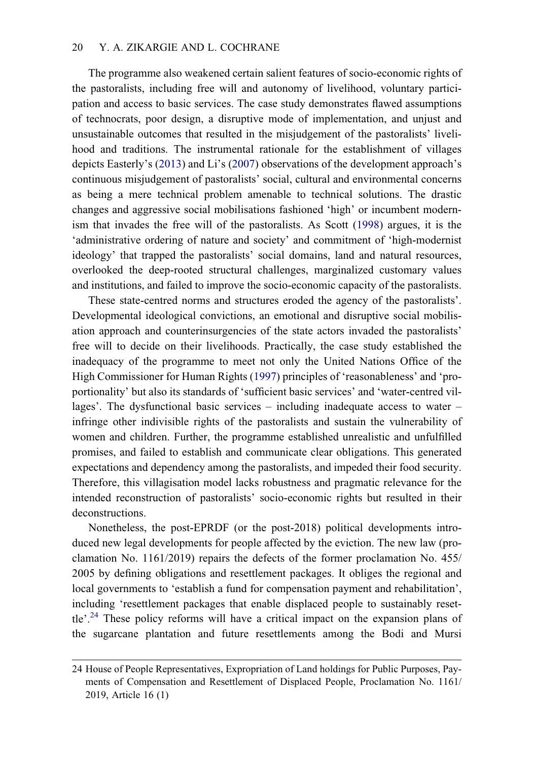The programme also weakened certain salient features of socio-economic rights of the pastoralists, including free will and autonomy of livelihood, voluntary participation and access to basic services. The case study demonstrates flawed assumptions of technocrats, poor design, a disruptive mode of implementation, and unjust and unsustainable outcomes that resulted in the misjudgement of the pastoralists' livelihood and traditions. The instrumental rationale for the establishment of villages depicts Easterly's ([2013\)](#page-22-4) and Li's ([2007\)](#page-22-18) observations of the development approach's continuous misjudgement of pastoralists' social, cultural and environmental concerns as being a mere technical problem amenable to technical solutions. The drastic changes and aggressive social mobilisations fashioned 'high' or incumbent modernism that invades the free will of the pastoralists. As Scott ([1998\)](#page-23-7) argues, it is the 'administrative ordering of nature and society' and commitment of 'high-modernist ideology' that trapped the pastoralists' social domains, land and natural resources, overlooked the deep-rooted structural challenges, marginalized customary values and institutions, and failed to improve the socio-economic capacity of the pastoralists.

These state-centred norms and structures eroded the agency of the pastoralists'. Developmental ideological convictions, an emotional and disruptive social mobilisation approach and counterinsurgencies of the state actors invaded the pastoralists' free will to decide on their livelihoods. Practically, the case study established the inadequacy of the programme to meet not only the United Nations Office of the High Commissioner for Human Rights [\(1997](#page-23-19)) principles of 'reasonableness' and 'proportionality' but also its standards of 'sufficient basic services' and 'water-centred villages'. The dysfunctional basic services – including inadequate access to water – infringe other indivisible rights of the pastoralists and sustain the vulnerability of women and children. Further, the programme established unrealistic and unfulfilled promises, and failed to establish and communicate clear obligations. This generated expectations and dependency among the pastoralists, and impeded their food security. Therefore, this villagisation model lacks robustness and pragmatic relevance for the intended reconstruction of pastoralists' socio-economic rights but resulted in their deconstructions.

Nonetheless, the post-EPRDF (or the post-2018) political developments introduced new legal developments for people affected by the eviction. The new law (proclamation No. 1161/2019) repairs the defects of the former proclamation No. 455/ 2005 by defining obligations and resettlement packages. It obliges the regional and local governments to 'establish a fund for compensation payment and rehabilitation', including 'resettlement packages that enable displaced people to sustainably reset-tle'.<sup>[24](#page-20-0)</sup> These policy reforms will have a critical impact on the expansion plans of the sugarcane plantation and future resettlements among the Bodi and Mursi

<span id="page-20-0"></span><sup>24</sup> House of People Representatives, Expropriation of Land holdings for Public Purposes, Payments of Compensation and Resettlement of Displaced People, Proclamation No. 1161/ 2019, Article 16 (1)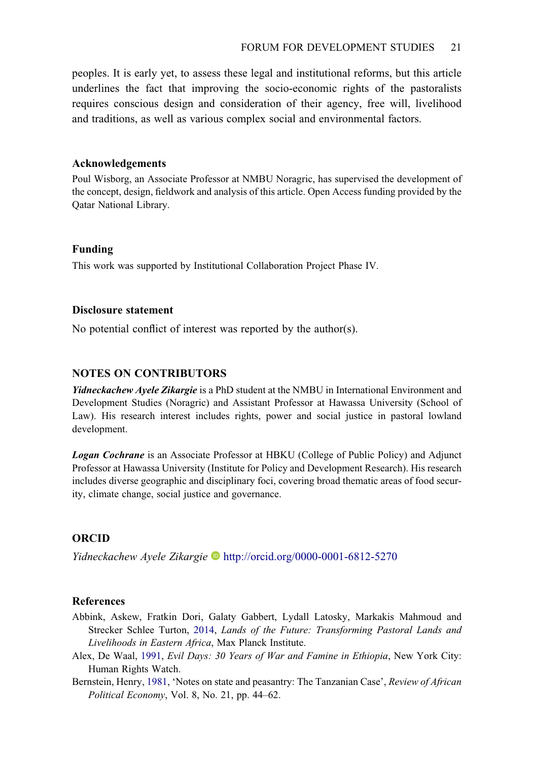peoples. It is early yet, to assess these legal and institutional reforms, but this article underlines the fact that improving the socio-economic rights of the pastoralists requires conscious design and consideration of their agency, free will, livelihood and traditions, as well as various complex social and environmental factors.

#### Acknowledgements

Poul Wisborg, an Associate Professor at NMBU Noragric, has supervised the development of the concept, design, fieldwork and analysis of this article. Open Access funding provided by the Qatar National Library.

# Funding

This work was supported by Institutional Collaboration Project Phase IV.

# Disclosure statement

No potential conflict of interest was reported by the author(s).

# NOTES ON CONTRIBUTORS

**Yidneckachew Ayele Zikargie** is a PhD student at the NMBU in International Environment and Development Studies (Noragric) and Assistant Professor at Hawassa University (School of Law). His research interest includes rights, power and social justice in pastoral lowland development.

**Logan Cochrane** is an Associate Professor at HBKU (College of Public Policy) and Adjunct Professor at Hawassa University (Institute for Policy and Development Research). His research includes diverse geographic and disciplinary foci, covering broad thematic areas of food security, climate change, social justice and governance.

# ORCID

Yidneckachew Ayele Zikargie D<http://orcid.org/0000-0001-6812-5270>

# <span id="page-21-2"></span>References

- Abbink, Askew, Fratkin Dori, Galaty Gabbert, Lydall Latosky, Markakis Mahmoud and Strecker Schlee Turton, [2014](#page-19-2), Lands of the Future: Transforming Pastoral Lands and Livelihoods in Eastern Africa, Max Planck Institute.
- <span id="page-21-1"></span>Alex, De Waal, [1991](#page-3-0), Evil Days: 30 Years of War and Famine in Ethiopia, New York City: Human Rights Watch.
- <span id="page-21-0"></span>Bernstein, Henry, [1981,](#page-3-1) 'Notes on state and peasantry: The Tanzanian Case', Review of African Political Economy, Vol. 8, No. 21, pp. 44–62.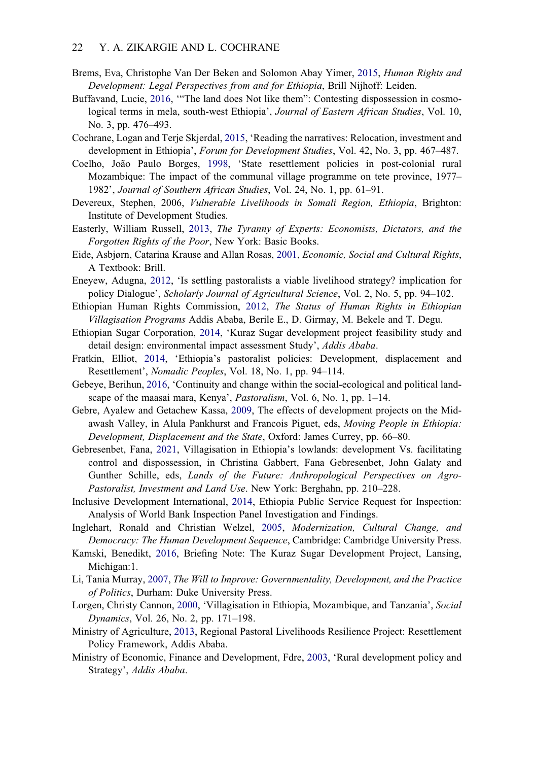- <span id="page-22-19"></span>Brems, Eva, Christophe Van Der Beken and Solomon Abay Yimer, [2015](#page-19-3), Human Rights and Development: Legal Perspectives from and for Ethiopia, Brill Nijhoff: Leiden.
- <span id="page-22-0"></span>Buffavand, Lucie, [2016,](#page-1-1) '"The land does Not like them": Contesting dispossession in cosmological terms in mela, south-west Ethiopia', Journal of Eastern African Studies, Vol. 10, No. 3, pp. 476–493.
- <span id="page-22-5"></span>Cochrane, Logan and Terje Skjerdal, [2015,](#page-3-2) 'Reading the narratives: Relocation, investment and development in Ethiopia', Forum for Development Studies, Vol. 42, No. 3, pp. 467–487.
- <span id="page-22-9"></span>Coelho, João Paulo Borges, [1998,](#page-3-3) 'State resettlement policies in post-colonial rural Mozambique: The impact of the communal village programme on tete province, 1977– 1982', Journal of Southern African Studies, Vol. 24, No. 1, pp. 61–91.
- Devereux, Stephen, 2006, Vulnerable Livelihoods in Somali Region, Ethiopia, Brighton: Institute of Development Studies.
- <span id="page-22-4"></span>Easterly, William Russell, [2013,](#page-3-4) The Tyranny of Experts: Economists, Dictators, and the Forgotten Rights of the Poor, New York: Basic Books.
- <span id="page-22-13"></span>Eide, Asbjørn, Catarina Krause and Allan Rosas, [2001,](#page-7-0) Economic, Social and Cultural Rights, A Textbook: Brill.
- <span id="page-22-6"></span>Eneyew, Adugna, [2012,](#page-3-5) 'Is settling pastoralists a viable livelihood strategy? implication for policy Dialogue', Scholarly Journal of Agricultural Science, Vol. 2, No. 5, pp. 94–102.
- <span id="page-22-3"></span>Ethiopian Human Rights Commission, [2012](#page-2-0), The Status of Human Rights in Ethiopian Villagisation Programs Addis Ababa, Berile E., D. Girmay, M. Bekele and T. Degu.
- <span id="page-22-15"></span>Ethiopian Sugar Corporation, [2014](#page-8-0), 'Kuraz Sugar development project feasibility study and detail design: environmental impact assessment Study', Addis Ababa.
- <span id="page-22-7"></span>Fratkin, Elliot, [2014,](#page-3-6) 'Ethiopia's pastoralist policies: Development, displacement and Resettlement', Nomadic Peoples, Vol. 18, No. 1, pp. 94–114.
- <span id="page-22-14"></span>Gebeye, Berihun, [2016,](#page-7-1) 'Continuity and change within the social-ecological and political landscape of the maasai mara, Kenya', *Pastoralism*, Vol. 6, No. 1, pp. 1–14.
- <span id="page-22-8"></span>Gebre, Ayalew and Getachew Kassa, [2009,](#page-3-7) The effects of development projects on the Midawash Valley, in Alula Pankhurst and Francois Piguet, eds, Moving People in Ethiopia: Development, Displacement and the State, Oxford: James Currey, pp. 66–80.
- <span id="page-22-2"></span>Gebresenbet, Fana, [2021,](#page-2-1) Villagisation in Ethiopia's lowlands: development Vs. facilitating control and dispossession, in Christina Gabbert, Fana Gebresenbet, John Galaty and Gunther Schille, eds, Lands of the Future: Anthropological Perspectives on Agro-Pastoralist, Investment and Land Use. New York: Berghahn, pp. 210–228.
- <span id="page-22-11"></span>Inclusive Development International, [2014,](#page-5-1) Ethiopia Public Service Request for Inspection: Analysis of World Bank Inspection Panel Investigation and Findings.
- <span id="page-22-12"></span>Inglehart, Ronald and Christian Welzel, [2005,](#page-7-2) Modernization, Cultural Change, and Democracy: The Human Development Sequence, Cambridge: Cambridge University Press.
- <span id="page-22-1"></span>Kamski, Benedikt, [2016](#page-2-2), Briefing Note: The Kuraz Sugar Development Project, Lansing, Michigan:1.
- <span id="page-22-18"></span>Li, Tania Murray, [2007,](#page-19-4) The Will to Improve: Governmentality, Development, and the Practice of Politics, Durham: Duke University Press.
- <span id="page-22-10"></span>Lorgen, Christy Cannon, [2000,](#page-4-1) 'Villagisation in Ethiopia, Mozambique, and Tanzania', Social Dynamics, Vol. 26, No. 2, pp. 171–198.
- <span id="page-22-17"></span>Ministry of Agriculture, [2013,](#page-12-2) Regional Pastoral Livelihoods Resilience Project: Resettlement Policy Framework, Addis Ababa.
- <span id="page-22-16"></span>Ministry of Economic, Finance and Development, Fdre, [2003,](#page-11-0) 'Rural development policy and Strategy', Addis Ababa.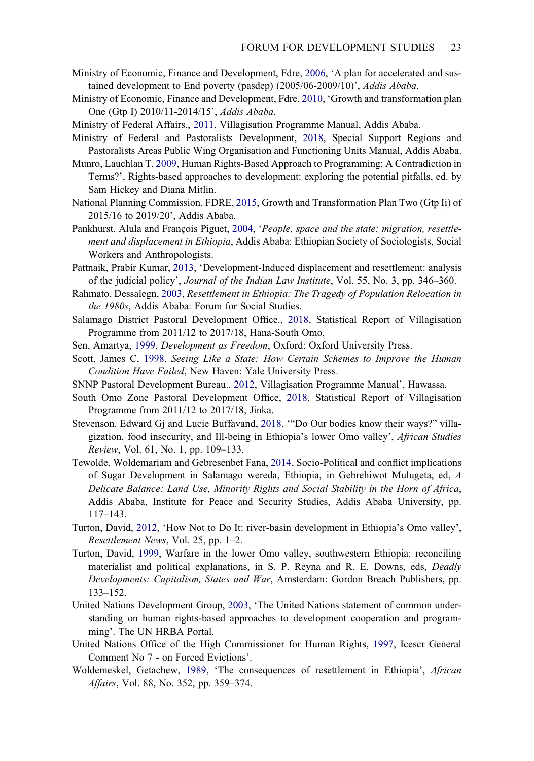- <span id="page-23-17"></span>Ministry of Economic, Finance and Development, Fdre, [2006,](#page-12-3) 'A plan for accelerated and sustained development to End poverty (pasdep) (2005/06-2009/10)', Addis Ababa.
- <span id="page-23-4"></span>Ministry of Economic, Finance and Development, Fdre, [2010](#page-2-3), 'Growth and transformation plan One (Gtp I) 2010/11-2014/15', Addis Ababa.
- <span id="page-23-20"></span><span id="page-23-6"></span>Ministry of Federal Affairs., [2011,](#page-2-0) Villagisation Programme Manual, Addis Ababa.
- Ministry of Federal and Pastoralists Development, [2018,](#page-16-1) Special Support Regions and Pastoralists Areas Public Wing Organisation and Functioning Units Manual, Addis Ababa.
- <span id="page-23-14"></span>Munro, Lauchlan T, [2009](#page-7-2), Human Rights-Based Approach to Programming: A Contradiction in Terms?', Rights-based approaches to development: exploring the potential pitfalls, ed. by Sam Hickey and Diana Mitlin.
- <span id="page-23-5"></span>National Planning Commission, FDRE, [2015](#page-2-3), Growth and Transformation Plan Two (Gtp Ii) of 2015/16 to 2019/20', Addis Ababa.
- <span id="page-23-10"></span>Pankhurst, Alula and François Piguet, [2004,](#page-4-2) 'People, space and the state: migration, resettlement and displacement in Ethiopia, Addis Ababa: Ethiopian Society of Sociologists, Social Workers and Anthropologists.
- <span id="page-23-3"></span>Pattnaik, Prabir Kumar, [2013](#page-2-4), 'Development-Induced displacement and resettlement: analysis of the judicial policy', Journal of the Indian Law Institute, Vol. 55, No. 3, pp. 346–360.
- <span id="page-23-8"></span>Rahmato, Dessalegn, [2003](#page-3-6), Resettlement in Ethiopia: The Tragedy of Population Relocation in the 1980s, Addis Ababa: Forum for Social Studies.
- <span id="page-23-1"></span>Salamago District Pastoral Development Office., [2018](#page-2-5), Statistical Report of Villagisation Programme from 2011/12 to 2017/18, Hana-South Omo.
- <span id="page-23-15"></span><span id="page-23-7"></span>Sen, Amartya, [1999,](#page-7-3) Development as Freedom, Oxford: Oxford University Press.
- Scott, James C, [1998,](#page-3-8) Seeing Like a State: How Certain Schemes to Improve the Human Condition Have Failed, New Haven: Yale University Press.
- <span id="page-23-12"></span><span id="page-23-2"></span>SNNP Pastoral Development Bureau., [2012](#page-5-2), Villagisation Programme Manual', Hawassa.
- South Omo Zone Pastoral Development Office, [2018](#page-2-5), Statistical Report of Villagisation Programme from 2011/12 to 2017/18, Jinka.
- <span id="page-23-9"></span>Stevenson, Edward Gj and Lucie Buffavand, [2018](#page-3-9), '"Do Our bodies know their ways?" villagization, food insecurity, and Ill-being in Ethiopia's lower Omo valley', African Studies Review, Vol. 61, No. 1, pp. 109–133.
- <span id="page-23-18"></span>Tewolde, Woldemariam and Gebresenbet Fana, [2014](#page-14-0), Socio-Political and conflict implications of Sugar Development in Salamago wereda, Ethiopia, in Gebrehiwot Mulugeta, ed, A Delicate Balance: Land Use, Minority Rights and Social Stability in the Horn of Africa, Addis Ababa, Institute for Peace and Security Studies, Addis Ababa University, pp. 117–143.
- <span id="page-23-16"></span>Turton, David, [2012](#page-8-1), 'How Not to Do It: river-basin development in Ethiopia's Omo valley', Resettlement News, Vol. 25, pp. 1–2.
- <span id="page-23-0"></span>Turton, David, [1999,](#page-1-2) Warfare in the lower Omo valley, southwestern Ethiopia: reconciling materialist and political explanations, in S. P. Reyna and R. E. Downs, eds, Deadly Developments: Capitalism, States and War, Amsterdam: Gordon Breach Publishers, pp. 133–152.
- <span id="page-23-13"></span>United Nations Development Group, [2003,](#page-7-4) 'The United Nations statement of common understanding on human rights-based approaches to development cooperation and programming'. The UN HRBA Portal.
- <span id="page-23-19"></span>United Nations Office of the High Commissioner for Human Rights, [1997,](#page-16-2) Icescr General Comment No 7 - on Forced Evictions'.
- <span id="page-23-11"></span>Woldemeskel, Getachew, [1989,](#page-4-3) 'The consequences of resettlement in Ethiopia', African Affairs, Vol. 88, No. 352, pp. 359–374.